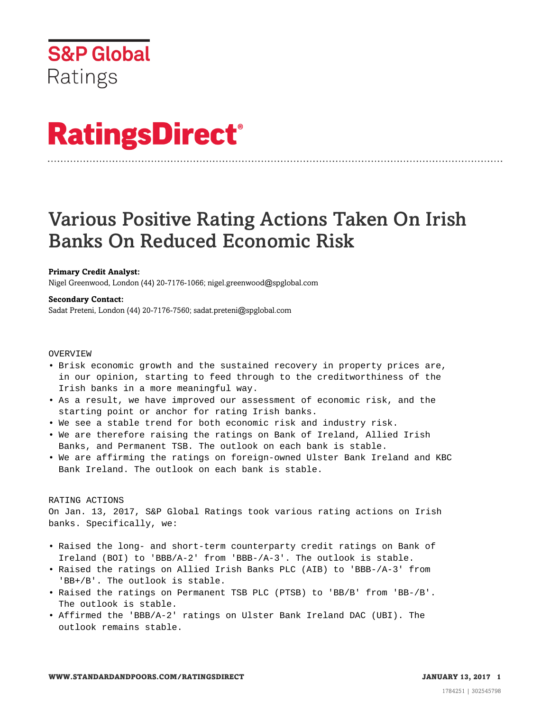

# **RatingsDirect®**

# Various Positive Rating Actions Taken On Irish Banks On Reduced Economic Risk

# **Primary Credit Analyst:**

Nigel Greenwood, London (44) 20-7176-1066; nigel.greenwood@spglobal.com

#### **Secondary Contact:**

Sadat Preteni, London (44) 20-7176-7560; sadat.preteni@spglobal.com

#### **OVERVIEW**

- Brisk economic growth and the sustained recovery in property prices are, in our opinion, starting to feed through to the creditworthiness of the Irish banks in a more meaningful way.
- As a result, we have improved our assessment of economic risk, and the starting point or anchor for rating Irish banks.
- We see a stable trend for both economic risk and industry risk.
- We are therefore raising the ratings on Bank of Ireland, Allied Irish Banks, and Permanent TSB. The outlook on each bank is stable.
- We are affirming the ratings on foreign-owned Ulster Bank Ireland and KBC Bank Ireland. The outlook on each bank is stable.

### RATING ACTIONS

On Jan. 13, 2017, S&P Global Ratings took various rating actions on Irish banks. Specifically, we:

- Raised the long- and short-term counterparty credit ratings on Bank of Ireland (BOI) to 'BBB/A-2' from 'BBB-/A-3'. The outlook is stable.
- Raised the ratings on Allied Irish Banks PLC (AIB) to 'BBB-/A-3' from 'BB+/B'. The outlook is stable.
- Raised the ratings on Permanent TSB PLC (PTSB) to 'BB/B' from 'BB-/B'. The outlook is stable.
- Affirmed the 'BBB/A-2' ratings on Ulster Bank Ireland DAC (UBI). The outlook remains stable.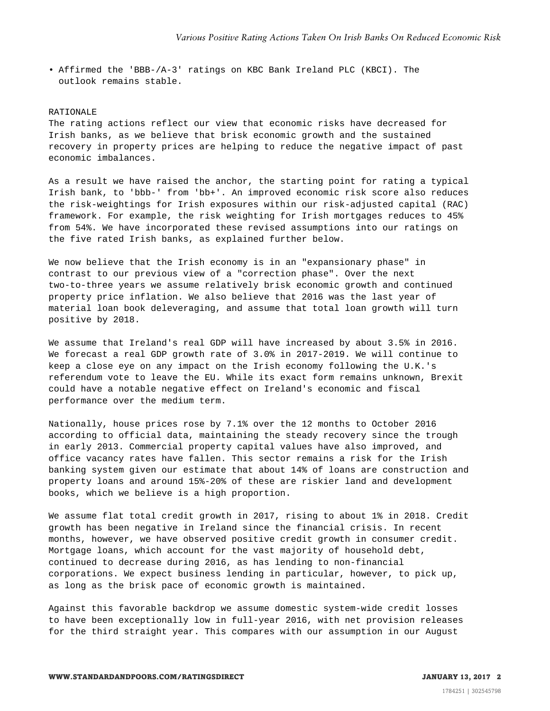• Affirmed the 'BBB-/A-3' ratings on KBC Bank Ireland PLC (KBCI). The outlook remains stable.

#### RATIONALE

The rating actions reflect our view that economic risks have decreased for Irish banks, as we believe that brisk economic growth and the sustained recovery in property prices are helping to reduce the negative impact of past economic imbalances.

As a result we have raised the anchor, the starting point for rating a typical Irish bank, to 'bbb-' from 'bb+'. An improved economic risk score also reduces the risk-weightings for Irish exposures within our risk-adjusted capital (RAC) framework. For example, the risk weighting for Irish mortgages reduces to 45% from 54%. We have incorporated these revised assumptions into our ratings on the five rated Irish banks, as explained further below.

We now believe that the Irish economy is in an "expansionary phase" in contrast to our previous view of a "correction phase". Over the next two-to-three years we assume relatively brisk economic growth and continued property price inflation. We also believe that 2016 was the last year of material loan book deleveraging, and assume that total loan growth will turn positive by 2018.

We assume that Ireland's real GDP will have increased by about 3.5% in 2016. We forecast a real GDP growth rate of 3.0% in 2017-2019. We will continue to keep a close eye on any impact on the Irish economy following the U.K.'s referendum vote to leave the EU. While its exact form remains unknown, Brexit could have a notable negative effect on Ireland's economic and fiscal performance over the medium term.

Nationally, house prices rose by 7.1% over the 12 months to October 2016 according to official data, maintaining the steady recovery since the trough in early 2013. Commercial property capital values have also improved, and office vacancy rates have fallen. This sector remains a risk for the Irish banking system given our estimate that about 14% of loans are construction and property loans and around 15%-20% of these are riskier land and development books, which we believe is a high proportion.

We assume flat total credit growth in 2017, rising to about 1% in 2018. Credit growth has been negative in Ireland since the financial crisis. In recent months, however, we have observed positive credit growth in consumer credit. Mortgage loans, which account for the vast majority of household debt, continued to decrease during 2016, as has lending to non-financial corporations. We expect business lending in particular, however, to pick up, as long as the brisk pace of economic growth is maintained.

Against this favorable backdrop we assume domestic system-wide credit losses to have been exceptionally low in full-year 2016, with net provision releases for the third straight year. This compares with our assumption in our August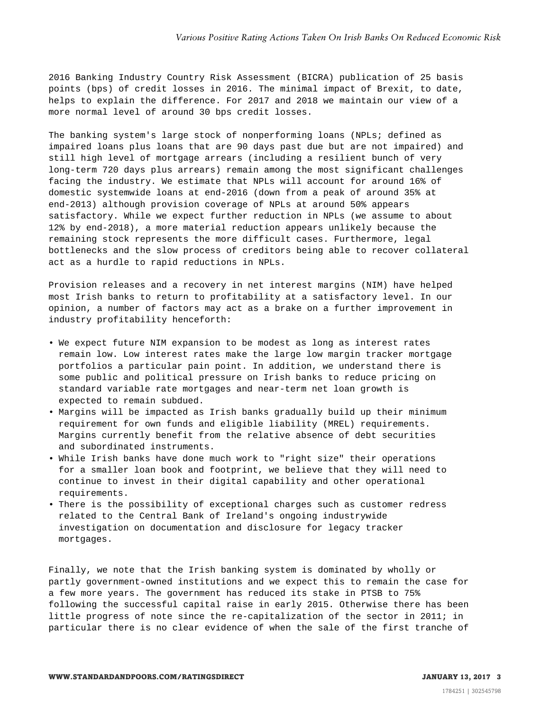2016 Banking Industry Country Risk Assessment (BICRA) publication of 25 basis points (bps) of credit losses in 2016. The minimal impact of Brexit, to date, helps to explain the difference. For 2017 and 2018 we maintain our view of a more normal level of around 30 bps credit losses.

The banking system's large stock of nonperforming loans (NPLs; defined as impaired loans plus loans that are 90 days past due but are not impaired) and still high level of mortgage arrears (including a resilient bunch of very long-term 720 days plus arrears) remain among the most significant challenges facing the industry. We estimate that NPLs will account for around 16% of domestic systemwide loans at end-2016 (down from a peak of around 35% at end-2013) although provision coverage of NPLs at around 50% appears satisfactory. While we expect further reduction in NPLs (we assume to about 12% by end-2018), a more material reduction appears unlikely because the remaining stock represents the more difficult cases. Furthermore, legal bottlenecks and the slow process of creditors being able to recover collateral act as a hurdle to rapid reductions in NPLs.

Provision releases and a recovery in net interest margins (NIM) have helped most Irish banks to return to profitability at a satisfactory level. In our opinion, a number of factors may act as a brake on a further improvement in industry profitability henceforth:

- We expect future NIM expansion to be modest as long as interest rates remain low. Low interest rates make the large low margin tracker mortgage portfolios a particular pain point. In addition, we understand there is some public and political pressure on Irish banks to reduce pricing on standard variable rate mortgages and near-term net loan growth is expected to remain subdued.
- Margins will be impacted as Irish banks gradually build up their minimum requirement for own funds and eligible liability (MREL) requirements. Margins currently benefit from the relative absence of debt securities and subordinated instruments.
- While Irish banks have done much work to "right size" their operations for a smaller loan book and footprint, we believe that they will need to continue to invest in their digital capability and other operational requirements.
- There is the possibility of exceptional charges such as customer redress related to the Central Bank of Ireland's ongoing industrywide investigation on documentation and disclosure for legacy tracker mortgages.

Finally, we note that the Irish banking system is dominated by wholly or partly government-owned institutions and we expect this to remain the case for a few more years. The government has reduced its stake in PTSB to 75% following the successful capital raise in early 2015. Otherwise there has been little progress of note since the re-capitalization of the sector in 2011; in particular there is no clear evidence of when the sale of the first tranche of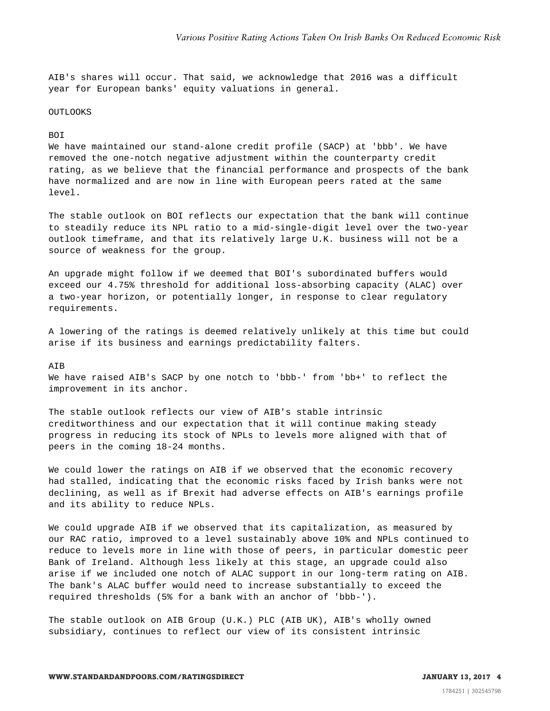AIB's shares will occur. That said, we acknowledge that 2016 was a difficult year for European banks' equity valuations in general.

#### OUTLOOKS

## BOI

We have maintained our stand-alone credit profile (SACP) at 'bbb'. We have removed the one-notch negative adjustment within the counterparty credit rating, as we believe that the financial performance and prospects of the bank have normalized and are now in line with European peers rated at the same level.

The stable outlook on BOI reflects our expectation that the bank will continue to steadily reduce its NPL ratio to a mid-single-digit level over the two-year outlook timeframe, and that its relatively large U.K. business will not be a source of weakness for the group.

An upgrade might follow if we deemed that BOI's subordinated buffers would exceed our 4.75% threshold for additional loss-absorbing capacity (ALAC) over a two-year horizon, or potentially longer, in response to clear regulatory requirements.

A lowering of the ratings is deemed relatively unlikely at this time but could arise if its business and earnings predictability falters.

#### AIB

We have raised AIB's SACP by one notch to 'bbb-' from 'bb+' to reflect the improvement in its anchor.

The stable outlook reflects our view of AIB's stable intrinsic creditworthiness and our expectation that it will continue making steady progress in reducing its stock of NPLs to levels more aligned with that of peers in the coming 18-24 months.

We could lower the ratings on AIB if we observed that the economic recovery had stalled, indicating that the economic risks faced by Irish banks were not declining, as well as if Brexit had adverse effects on AIB's earnings profile and its ability to reduce NPLs.

We could upgrade AIB if we observed that its capitalization, as measured by our RAC ratio, improved to a level sustainably above 10% and NPLs continued to reduce to levels more in line with those of peers, in particular domestic peer Bank of Ireland. Although less likely at this stage, an upgrade could also arise if we included one notch of ALAC support in our long-term rating on AIB. The bank's ALAC buffer would need to increase substantially to exceed the required thresholds (5% for a bank with an anchor of 'bbb-').

The stable outlook on AIB Group (U.K.) PLC (AIB UK), AIB's wholly owned subsidiary, continues to reflect our view of its consistent intrinsic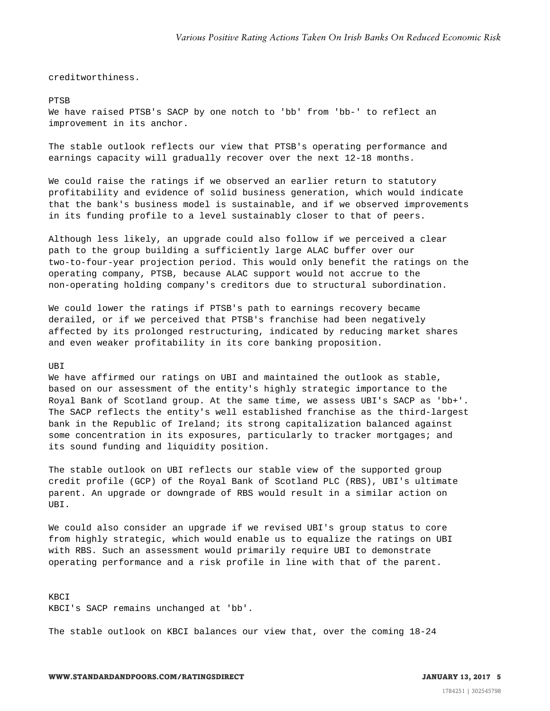creditworthiness.

#### PTSB

We have raised PTSB's SACP by one notch to 'bb' from 'bb-' to reflect an improvement in its anchor.

The stable outlook reflects our view that PTSB's operating performance and earnings capacity will gradually recover over the next 12-18 months.

We could raise the ratings if we observed an earlier return to statutory profitability and evidence of solid business generation, which would indicate that the bank's business model is sustainable, and if we observed improvements in its funding profile to a level sustainably closer to that of peers.

Although less likely, an upgrade could also follow if we perceived a clear path to the group building a sufficiently large ALAC buffer over our two-to-four-year projection period. This would only benefit the ratings on the operating company, PTSB, because ALAC support would not accrue to the non-operating holding company's creditors due to structural subordination.

We could lower the ratings if PTSB's path to earnings recovery became derailed, or if we perceived that PTSB's franchise had been negatively affected by its prolonged restructuring, indicated by reducing market shares and even weaker profitability in its core banking proposition.

#### UBI

We have affirmed our ratings on UBI and maintained the outlook as stable, based on our assessment of the entity's highly strategic importance to the Royal Bank of Scotland group. At the same time, we assess UBI's SACP as 'bb+'. The SACP reflects the entity's well established franchise as the third-largest bank in the Republic of Ireland; its strong capitalization balanced against some concentration in its exposures, particularly to tracker mortgages; and its sound funding and liquidity position.

The stable outlook on UBI reflects our stable view of the supported group credit profile (GCP) of the Royal Bank of Scotland PLC (RBS), UBI's ultimate parent. An upgrade or downgrade of RBS would result in a similar action on UBI.

We could also consider an upgrade if we revised UBI's group status to core from highly strategic, which would enable us to equalize the ratings on UBI with RBS. Such an assessment would primarily require UBI to demonstrate operating performance and a risk profile in line with that of the parent.

KBCI KBCI's SACP remains unchanged at 'bb'.

The stable outlook on KBCI balances our view that, over the coming 18-24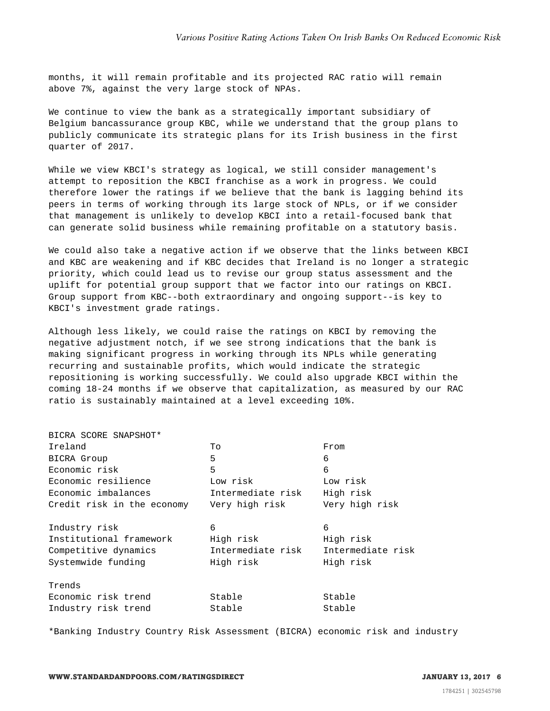months, it will remain profitable and its projected RAC ratio will remain above 7%, against the very large stock of NPAs.

We continue to view the bank as a strategically important subsidiary of Belgium bancassurance group KBC, while we understand that the group plans to publicly communicate its strategic plans for its Irish business in the first quarter of 2017.

While we view KBCI's strategy as logical, we still consider management's attempt to reposition the KBCI franchise as a work in progress. We could therefore lower the ratings if we believe that the bank is lagging behind its peers in terms of working through its large stock of NPLs, or if we consider that management is unlikely to develop KBCI into a retail-focused bank that can generate solid business while remaining profitable on a statutory basis.

We could also take a negative action if we observe that the links between KBCI and KBC are weakening and if KBC decides that Ireland is no longer a strategic priority, which could lead us to revise our group status assessment and the uplift for potential group support that we factor into our ratings on KBCI. Group support from KBC--both extraordinary and ongoing support--is key to KBCI's investment grade ratings.

Although less likely, we could raise the ratings on KBCI by removing the negative adjustment notch, if we see strong indications that the bank is making significant progress in working through its NPLs while generating recurring and sustainable profits, which would indicate the strategic repositioning is working successfully. We could also upgrade KBCI within the coming 18-24 months if we observe that capitalization, as measured by our RAC ratio is sustainably maintained at a level exceeding 10%.

| To<br>From                                                     |                   |
|----------------------------------------------------------------|-------------------|
| 5<br>6                                                         |                   |
| 5<br>6                                                         |                   |
| Low risk<br>Low risk                                           |                   |
| Intermediate risk<br>High risk                                 |                   |
| Very high risk<br>Credit risk in the economy<br>Very high risk |                   |
| 6<br>6                                                         |                   |
| Institutional framework<br>High risk<br>High risk              |                   |
| Intermediate risk                                              | Intermediate risk |
| High risk<br>High risk                                         |                   |
|                                                                |                   |
| Stable<br>Stable                                               |                   |
| Stable<br>Stable                                               |                   |
|                                                                |                   |

\*Banking Industry Country Risk Assessment (BICRA) economic risk and industry

BICRA SCORE SNAPSHOT\*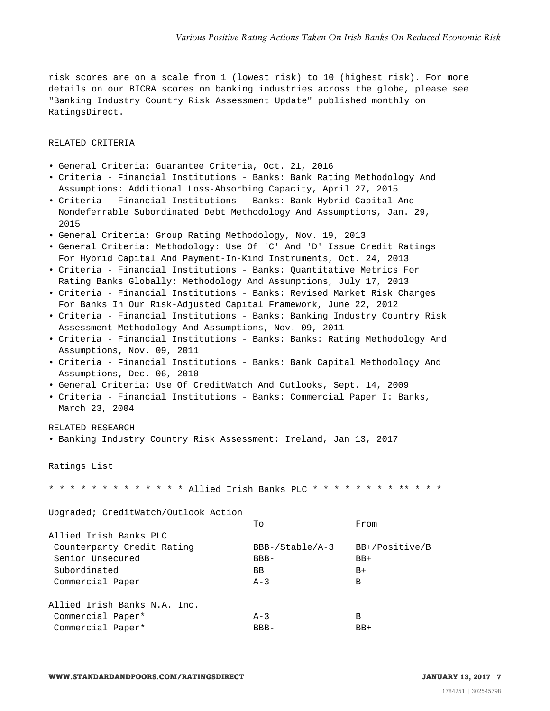risk scores are on a scale from 1 (lowest risk) to 10 (highest risk). For more details on our BICRA scores on banking industries across the globe, please see "Banking Industry Country Risk Assessment Update" published monthly on RatingsDirect.

### RELATED CRITERIA

- General Criteria: Guarantee Criteria, Oct. 21, 2016
- Criteria Financial Institutions Banks: Bank Rating Methodology And Assumptions: Additional Loss-Absorbing Capacity, April 27, 2015
- Criteria Financial Institutions Banks: Bank Hybrid Capital And Nondeferrable Subordinated Debt Methodology And Assumptions, Jan. 29, 2015
- General Criteria: Group Rating Methodology, Nov. 19, 2013
- General Criteria: Methodology: Use Of 'C' And 'D' Issue Credit Ratings For Hybrid Capital And Payment-In-Kind Instruments, Oct. 24, 2013
- Criteria Financial Institutions Banks: Quantitative Metrics For Rating Banks Globally: Methodology And Assumptions, July 17, 2013
- Criteria Financial Institutions Banks: Revised Market Risk Charges For Banks In Our Risk-Adjusted Capital Framework, June 22, 2012
- Criteria Financial Institutions Banks: Banking Industry Country Risk Assessment Methodology And Assumptions, Nov. 09, 2011
- Criteria Financial Institutions Banks: Banks: Rating Methodology And Assumptions, Nov. 09, 2011
- Criteria Financial Institutions Banks: Bank Capital Methodology And Assumptions, Dec. 06, 2010
- General Criteria: Use Of CreditWatch And Outlooks, Sept. 14, 2009
- Criteria Financial Institutions Banks: Commercial Paper I: Banks, March 23, 2004

RELATED RESEARCH

• Banking Industry Country Risk Assessment: Ireland, Jan 13, 2017

Ratings List

\* \* \* \* \* \* \* \* \* \* \* \* \* Allied Irish Banks PLC \* \* \* \* \* \* \* \* \*\* \* \* \*

Upgraded; CreditWatch/Outlook Action

|                              | Tο                | From           |
|------------------------------|-------------------|----------------|
| Allied Irish Banks PLC       |                   |                |
| Counterparty Credit Rating   | $BBB-/Stable/A-3$ | BB+/Positive/B |
| Senior Unsecured             | $BBB-$            | $BB+$          |
| Subordinated                 | BB                | $B+$           |
| Commercial Paper             | $A-3$             | В              |
| Allied Irish Banks N.A. Inc. |                   |                |
| Commercial Paper*            | $A-3$             | В              |
| Commercial Paper*            | $BBB-$            | $BB+$          |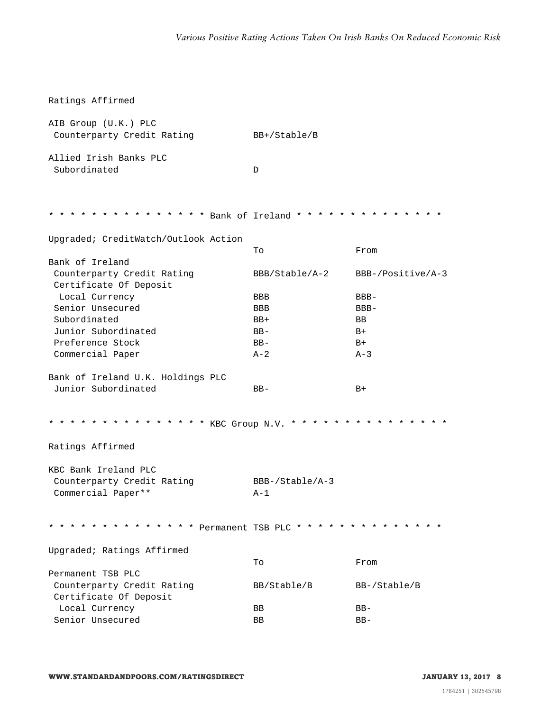| Ratings Affirmed                                                          |                            |                   |  |  |
|---------------------------------------------------------------------------|----------------------------|-------------------|--|--|
| AIB Group (U.K.) PLC<br>Counterparty Credit Rating                        | $BB+/Stable/B$             |                   |  |  |
| Allied Irish Banks PLC<br>Subordinated                                    | D                          |                   |  |  |
| * * * * * * * * * * * * * * Bank of Ireland * * * * * * * * * * * * * * * |                            |                   |  |  |
| Upgraded; CreditWatch/Outlook Action                                      | Tо                         | From              |  |  |
| Bank of Ireland                                                           |                            |                   |  |  |
| Counterparty Credit Rating<br>Certificate Of Deposit                      | BBB/Stable/A-2             | BBB-/Positive/A-3 |  |  |
| Local Currency                                                            | <b>BBB</b>                 | $BBB -$           |  |  |
| Senior Unsecured                                                          | <b>BBB</b>                 | $BBB -$           |  |  |
| Subordinated                                                              | $BB+$                      | <b>BB</b>         |  |  |
| Junior Subordinated                                                       | $BB-$                      | $B+$              |  |  |
| Preference Stock                                                          | $BB -$                     | $B+$              |  |  |
| Commercial Paper                                                          | $A-2$                      | $A-3$             |  |  |
| Bank of Ireland U.K. Holdings PLC                                         |                            |                   |  |  |
| Junior Subordinated                                                       | $BB-$                      | $B+$              |  |  |
| * * * * * * * * * * * * * * KBC Group N.V. * * * * * * * * * * * * * * *  |                            |                   |  |  |
| Ratings Affirmed                                                          |                            |                   |  |  |
| KBC Bank Ireland PLC                                                      |                            |                   |  |  |
| Counterparty Credit Rating<br>Commercial Paper**                          | $BBB-/Stable/A-3$<br>$A-1$ |                   |  |  |
| * * * * * * * * * * * * * Permanent TSB PLC * * * * * * * * * * * * * *   |                            |                   |  |  |
| Upgraded; Ratings Affirmed                                                |                            |                   |  |  |
|                                                                           | To                         | From              |  |  |
| Permanent TSB PLC                                                         |                            |                   |  |  |
| Counterparty Credit Rating                                                | BB/Stable/B                | $BB-/Stable/B$    |  |  |
| Certificate Of Deposit                                                    |                            |                   |  |  |
| Local Currency                                                            | BB                         | $BB-$             |  |  |
| Senior Unsecured                                                          | BB                         | $BB-$             |  |  |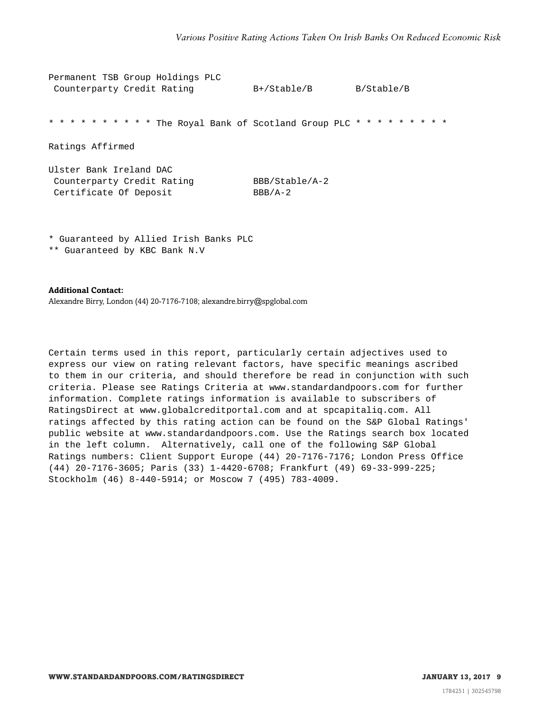| Permanent TSB Group Holdings PLC                                                |                             |            |
|---------------------------------------------------------------------------------|-----------------------------|------------|
| Counterparty Credit Rating                                                      | $B+ / Stable/B$             | B/Stable/B |
| * * * * * * * * * * The Royal Bank of Scotland Group PLC * * * * * * * * * *    |                             |            |
| Ratings Affirmed                                                                |                             |            |
| Ulster Bank Ireland DAC<br>Counterparty Credit Rating<br>Certificate Of Deposit | BBB/Stable/A-2<br>$BBB/A-2$ |            |

\* Guaranteed by Allied Irish Banks PLC

\*\* Guaranteed by KBC Bank N.V

**Additional Contact:**

Alexandre Birry, London (44) 20-7176-7108; alexandre.birry@spglobal.com

Certain terms used in this report, particularly certain adjectives used to express our view on rating relevant factors, have specific meanings ascribed to them in our criteria, and should therefore be read in conjunction with such criteria. Please see Ratings Criteria at www.standardandpoors.com for further information. Complete ratings information is available to subscribers of RatingsDirect at www.globalcreditportal.com and at spcapitaliq.com. All ratings affected by this rating action can be found on the S&P Global Ratings' public website at www.standardandpoors.com. Use the Ratings search box located in the left column. Alternatively, call one of the following S&P Global Ratings numbers: Client Support Europe (44) 20-7176-7176; London Press Office (44) 20-7176-3605; Paris (33) 1-4420-6708; Frankfurt (49) 69-33-999-225; Stockholm (46) 8-440-5914; or Moscow 7 (495) 783-4009.